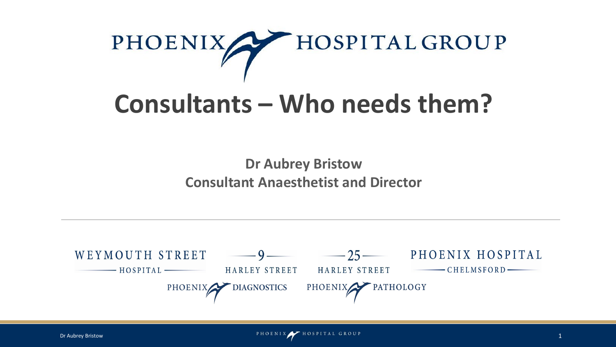

# **Consultants – Who needs them?**

**Dr Aubrey Bristow Consultant Anaesthetist and Director**

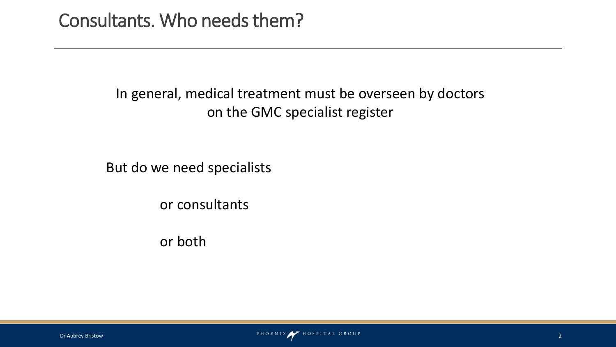#### In general, medical treatment must be overseen by doctors on the GMC specialist register

But do we need specialists

or consultants

or both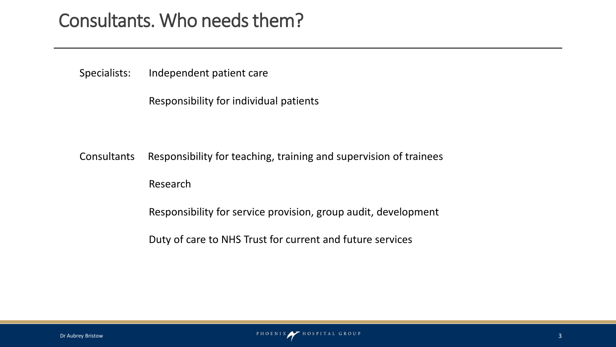## Consultants. Who needs them?

Specialists: Independent patient care

Responsibility for individual patients

Consultants Responsibility for teaching, training and supervision of trainees

Research

Responsibility for service provision, group audit, development

Duty of care to NHS Trust for current and future services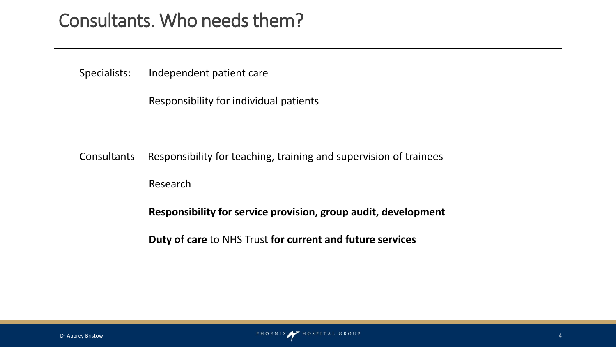## Consultants. Who needs them?

Specialists: Independent patient care

Responsibility for individual patients

Consultants Responsibility for teaching, training and supervision of trainees

Research

**Responsibility for service provision, group audit, development**

**Duty of care** to NHS Trust **for current and future services**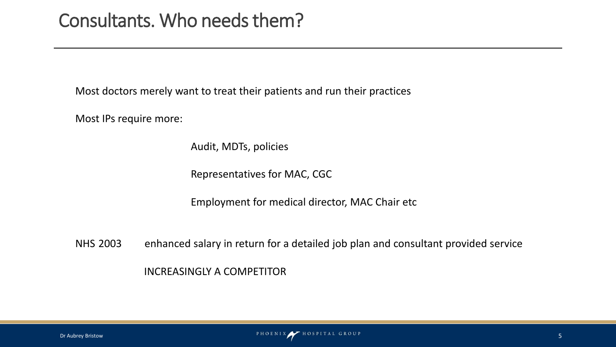Most doctors merely want to treat their patients and run their practices

Most IPs require more:

Audit, MDTs, policies

Representatives for MAC, CGC

Employment for medical director, MAC Chair etc

NHS 2003 enhanced salary in return for a detailed job plan and consultant provided service INCREASINGLY A COMPETITOR

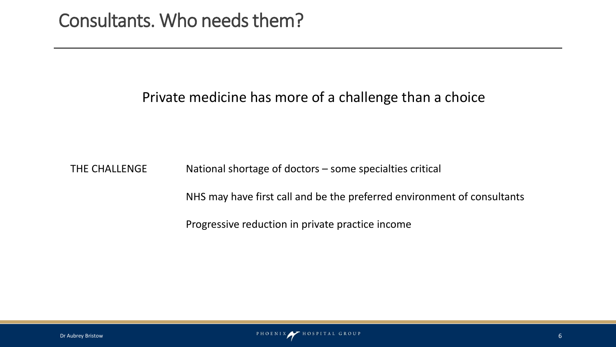#### Private medicine has more of a challenge than a choice

THE CHALLENGE National shortage of doctors – some specialties critical

NHS may have first call and be the preferred environment of consultants

Progressive reduction in private practice income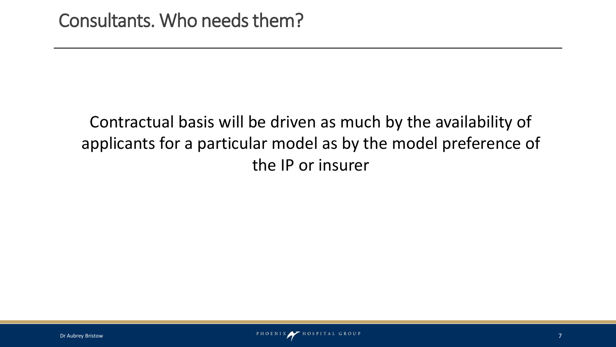## Contractual basis will be driven as much by the availability of applicants for a particular model as by the model preference of the IP or insurer